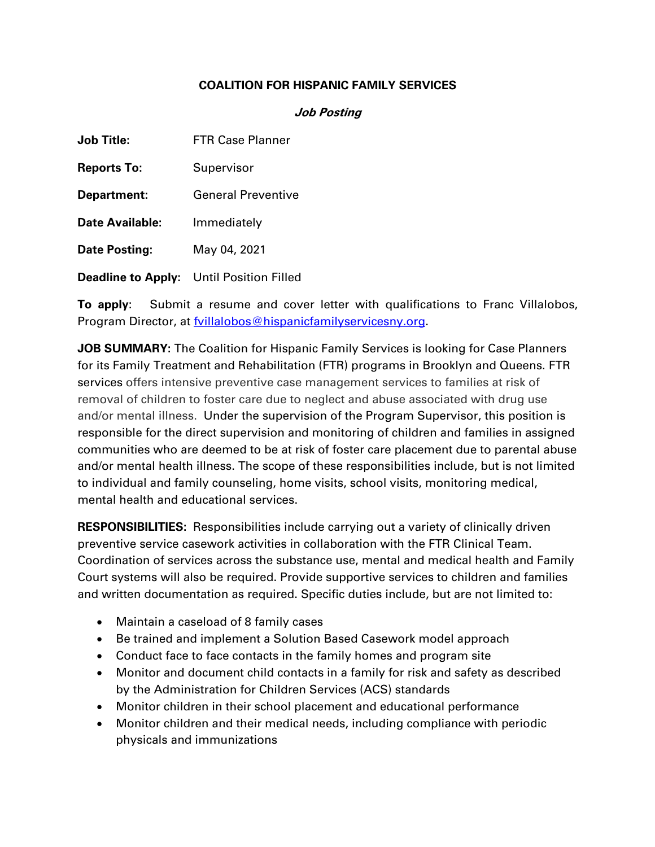## **COALITION FOR HISPANIC FAMILY SERVICES**

## **Job Posting**

| <b>Job Title:</b>      | <b>FTR Case Planner</b>                         |
|------------------------|-------------------------------------------------|
| <b>Reports To:</b>     | Supervisor                                      |
| Department:            | <b>General Preventive</b>                       |
| <b>Date Available:</b> | Immediately                                     |
| <b>Date Posting:</b>   | May 04, 2021                                    |
|                        | <b>Deadline to Apply:</b> Until Position Filled |

**To apply**: Submit a resume and cover letter with qualifications to Franc Villalobos, Program Director, at **fyillalobos@hispanicfamilyservicesny.org**.

**JOB SUMMARY:** The Coalition for Hispanic Family Services is looking for Case Planners for its Family Treatment and Rehabilitation (FTR) programs in Brooklyn and Queens. FTR services offers intensive preventive case management services to families at risk of removal of children to foster care due to neglect and abuse associated with drug use and/or mental illness. Under the supervision of the Program Supervisor, this position is responsible for the direct supervision and monitoring of children and families in assigned communities who are deemed to be at risk of foster care placement due to parental abuse and/or mental health illness. The scope of these responsibilities include, but is not limited to individual and family counseling, home visits, school visits, monitoring medical, mental health and educational services.

**RESPONSIBILITIES:** Responsibilities include carrying out a variety of clinically driven preventive service casework activities in collaboration with the FTR Clinical Team. Coordination of services across the substance use, mental and medical health and Family Court systems will also be required. Provide supportive services to children and families and written documentation as required. Specific duties include, but are not limited to:

- Maintain a caseload of 8 family cases
- Be trained and implement a Solution Based Casework model approach
- Conduct face to face contacts in the family homes and program site
- Monitor and document child contacts in a family for risk and safety as described by the Administration for Children Services (ACS) standards
- Monitor children in their school placement and educational performance
- Monitor children and their medical needs, including compliance with periodic physicals and immunizations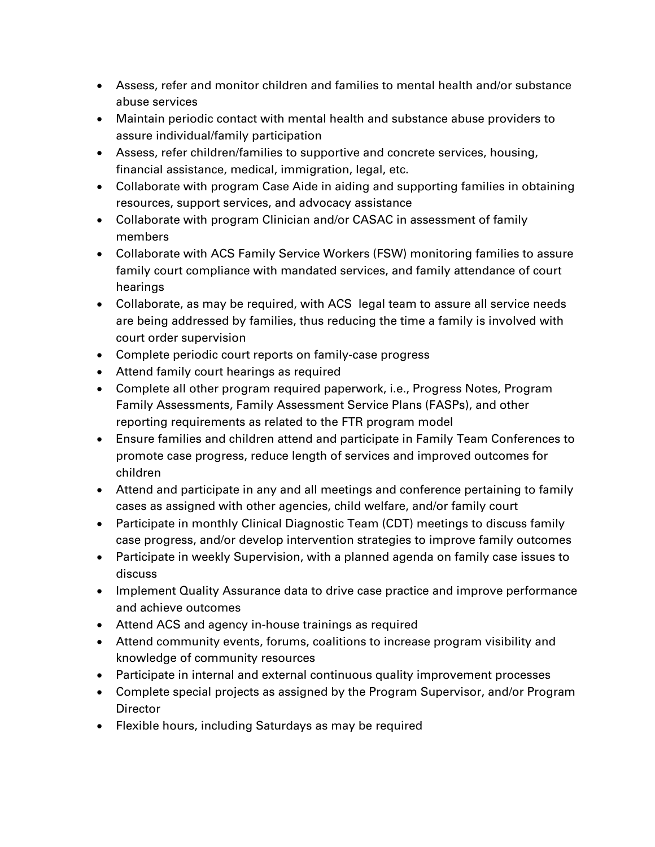- Assess, refer and monitor children and families to mental health and/or substance abuse services
- Maintain periodic contact with mental health and substance abuse providers to assure individual/family participation
- Assess, refer children/families to supportive and concrete services, housing, financial assistance, medical, immigration, legal, etc.
- Collaborate with program Case Aide in aiding and supporting families in obtaining resources, support services, and advocacy assistance
- Collaborate with program Clinician and/or CASAC in assessment of family members
- Collaborate with ACS Family Service Workers (FSW) monitoring families to assure family court compliance with mandated services, and family attendance of court hearings
- Collaborate, as may be required, with ACS legal team to assure all service needs are being addressed by families, thus reducing the time a family is involved with court order supervision
- Complete periodic court reports on family-case progress
- Attend family court hearings as required
- Complete all other program required paperwork, i.e., Progress Notes, Program Family Assessments, Family Assessment Service Plans (FASPs), and other reporting requirements as related to the FTR program model
- Ensure families and children attend and participate in Family Team Conferences to promote case progress, reduce length of services and improved outcomes for children
- Attend and participate in any and all meetings and conference pertaining to family cases as assigned with other agencies, child welfare, and/or family court
- Participate in monthly Clinical Diagnostic Team (CDT) meetings to discuss family case progress, and/or develop intervention strategies to improve family outcomes
- Participate in weekly Supervision, with a planned agenda on family case issues to discuss
- Implement Quality Assurance data to drive case practice and improve performance and achieve outcomes
- Attend ACS and agency in-house trainings as required
- Attend community events, forums, coalitions to increase program visibility and knowledge of community resources
- Participate in internal and external continuous quality improvement processes
- Complete special projects as assigned by the Program Supervisor, and/or Program Director
- Flexible hours, including Saturdays as may be required